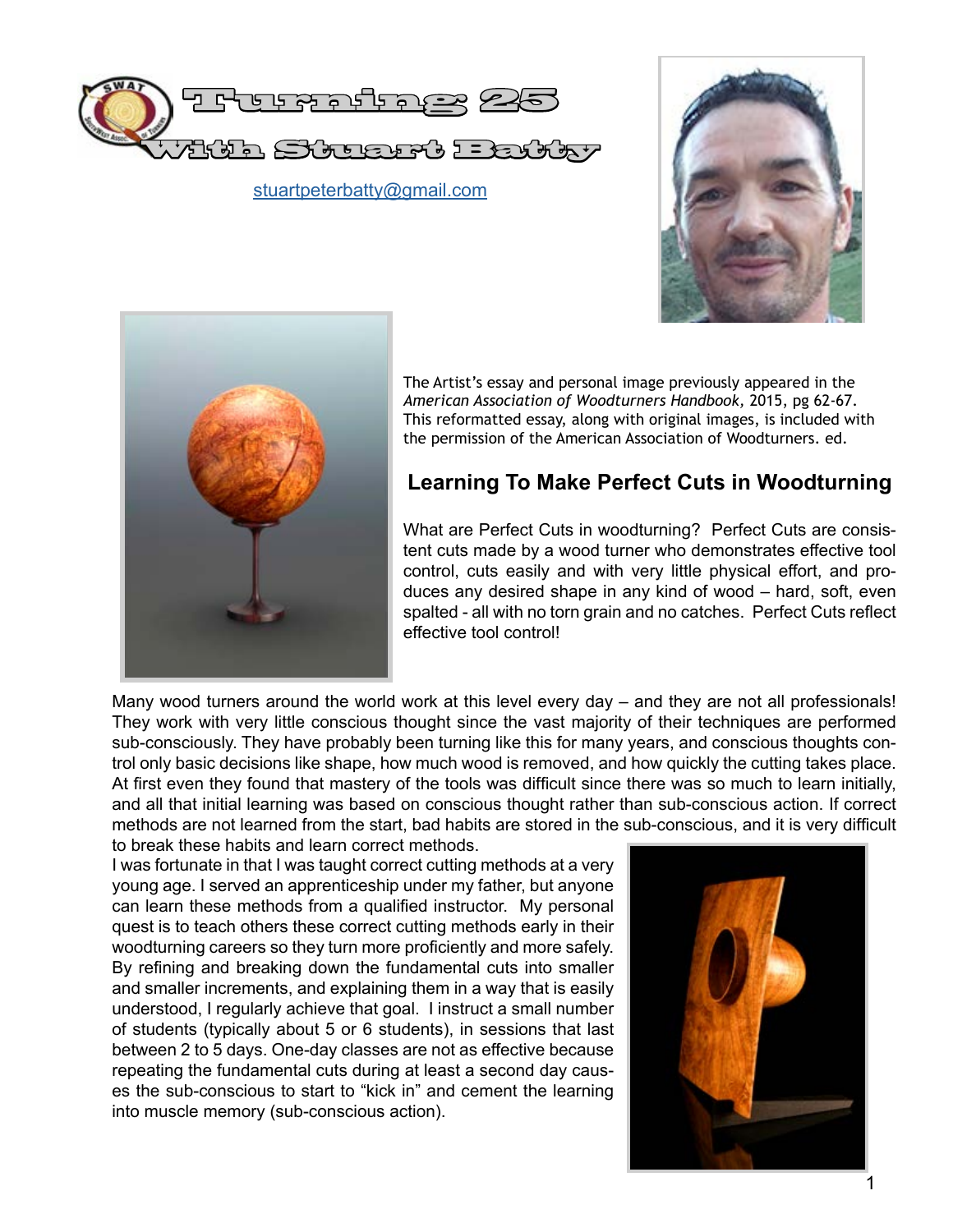

stuartpeterbatty@gmail.com





The Artist's essay and personal image previously appeared in the *American Association of Woodturners Handbook,* 2015, pg 62-67. This reformatted essay, along with original images, is included with the permission of the American Association of Woodturners. ed.

# **Learning To Make Perfect Cuts in Woodturning**

What are Perfect Cuts in woodturning? Perfect Cuts are consistent cuts made by a wood turner who demonstrates effective tool control, cuts easily and with very little physical effort, and produces any desired shape in any kind of wood – hard, soft, even spalted - all with no torn grain and no catches. Perfect Cuts reflect effective tool control!

Many wood turners around the world work at this level every day – and they are not all professionals! They work with very little conscious thought since the vast majority of their techniques are performed sub-consciously. They have probably been turning like this for many years, and conscious thoughts control only basic decisions like shape, how much wood is removed, and how quickly the cutting takes place. At first even they found that mastery of the tools was difficult since there was so much to learn initially, and all that initial learning was based on conscious thought rather than sub-conscious action. If correct methods are not learned from the start, bad habits are stored in the sub-conscious, and it is very difficult to break these habits and learn correct methods.

I was fortunate in that I was taught correct cutting methods at a very young age. I served an apprenticeship under my father, but anyone can learn these methods from a qualified instructor. My personal quest is to teach others these correct cutting methods early in their woodturning careers so they turn more proficiently and more safely. By refining and breaking down the fundamental cuts into smaller and smaller increments, and explaining them in a way that is easily understood, I regularly achieve that goal. I instruct a small number of students (typically about 5 or 6 students), in sessions that last between 2 to 5 days. One-day classes are not as effective because repeating the fundamental cuts during at least a second day causes the sub-conscious to start to "kick in" and cement the learning into muscle memory (sub-conscious action).

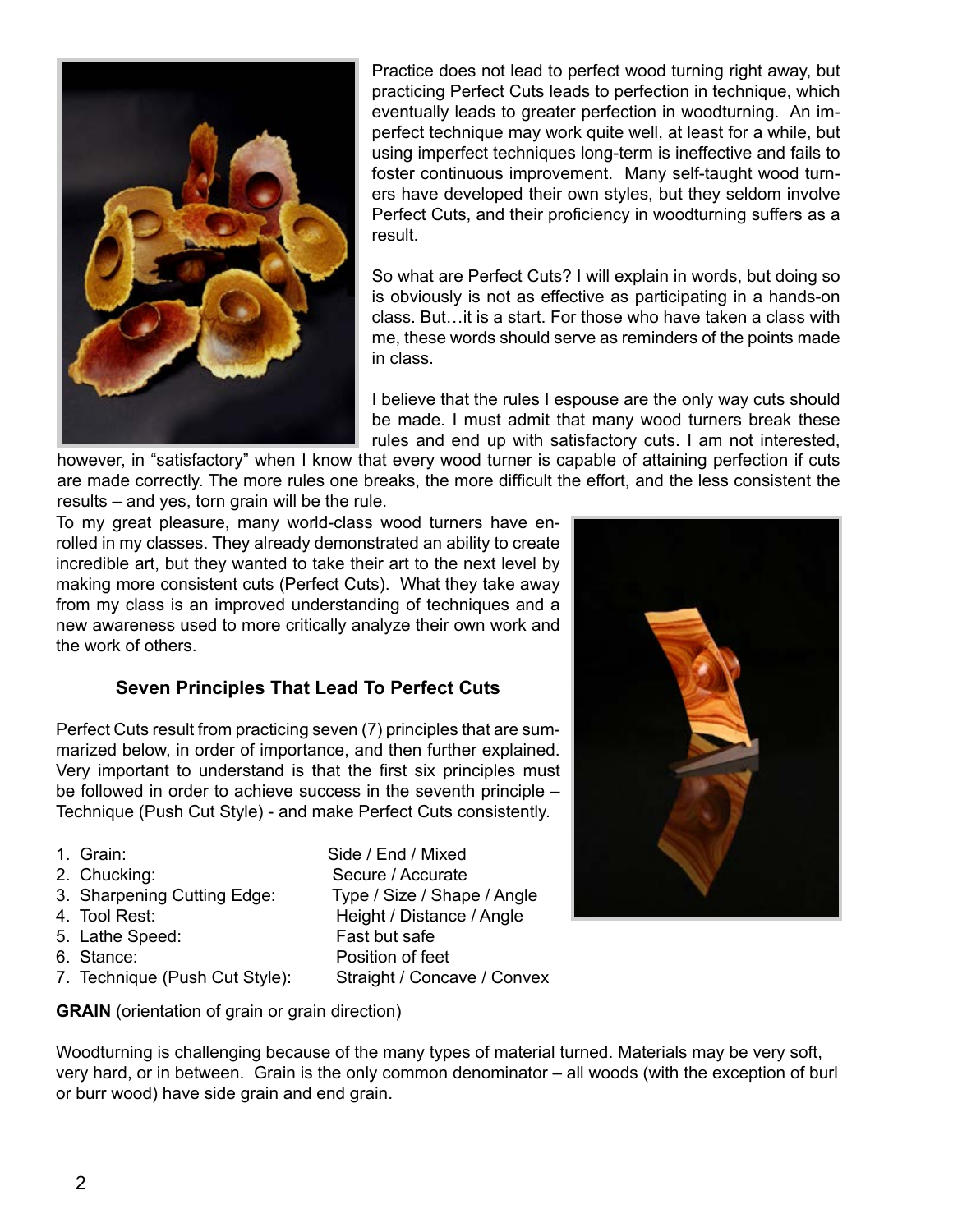

Practice does not lead to perfect wood turning right away, but practicing Perfect Cuts leads to perfection in technique, which eventually leads to greater perfection in woodturning. An imperfect technique may work quite well, at least for a while, but using imperfect techniques long-term is ineffective and fails to foster continuous improvement. Many self-taught wood turners have developed their own styles, but they seldom involve Perfect Cuts, and their proficiency in woodturning suffers as a result.

So what are Perfect Cuts? I will explain in words, but doing so is obviously is not as effective as participating in a hands-on class. But…it is a start. For those who have taken a class with me, these words should serve as reminders of the points made in class.

I believe that the rules I espouse are the only way cuts should be made. I must admit that many wood turners break these rules and end up with satisfactory cuts. I am not interested,

however, in "satisfactory" when I know that every wood turner is capable of attaining perfection if cuts are made correctly. The more rules one breaks, the more difficult the effort, and the less consistent the results – and yes, torn grain will be the rule.

To my great pleasure, many world-class wood turners have enrolled in my classes. They already demonstrated an ability to create incredible art, but they wanted to take their art to the next level by making more consistent cuts (Perfect Cuts). What they take away from my class is an improved understanding of techniques and a new awareness used to more critically analyze their own work and the work of others.

### **Seven Principles That Lead To Perfect Cuts**

Perfect Cuts result from practicing seven (7) principles that are summarized below, in order of importance, and then further explained. Very important to understand is that the first six principles must be followed in order to achieve success in the seventh principle – Technique (Push Cut Style) - and make Perfect Cuts consistently.

- 
- 
- 
- 
- 5. Lathe Speed: Fast but safe
- 
- 7. Technique (Push Cut Style): Straight / Concave / Convex

1. Grain: Side / End / Mixed 2. Chucking: Secure / Accurate 3. Sharpening Cutting Edge: Type / Size / Shape / Angle 4. Tool Rest: Height / Distance / Angle 6. Stance: Position of feet



**GRAIN** (orientation of grain or grain direction)

Woodturning is challenging because of the many types of material turned. Materials may be very soft, very hard, or in between. Grain is the only common denominator – all woods (with the exception of burl or burr wood) have side grain and end grain.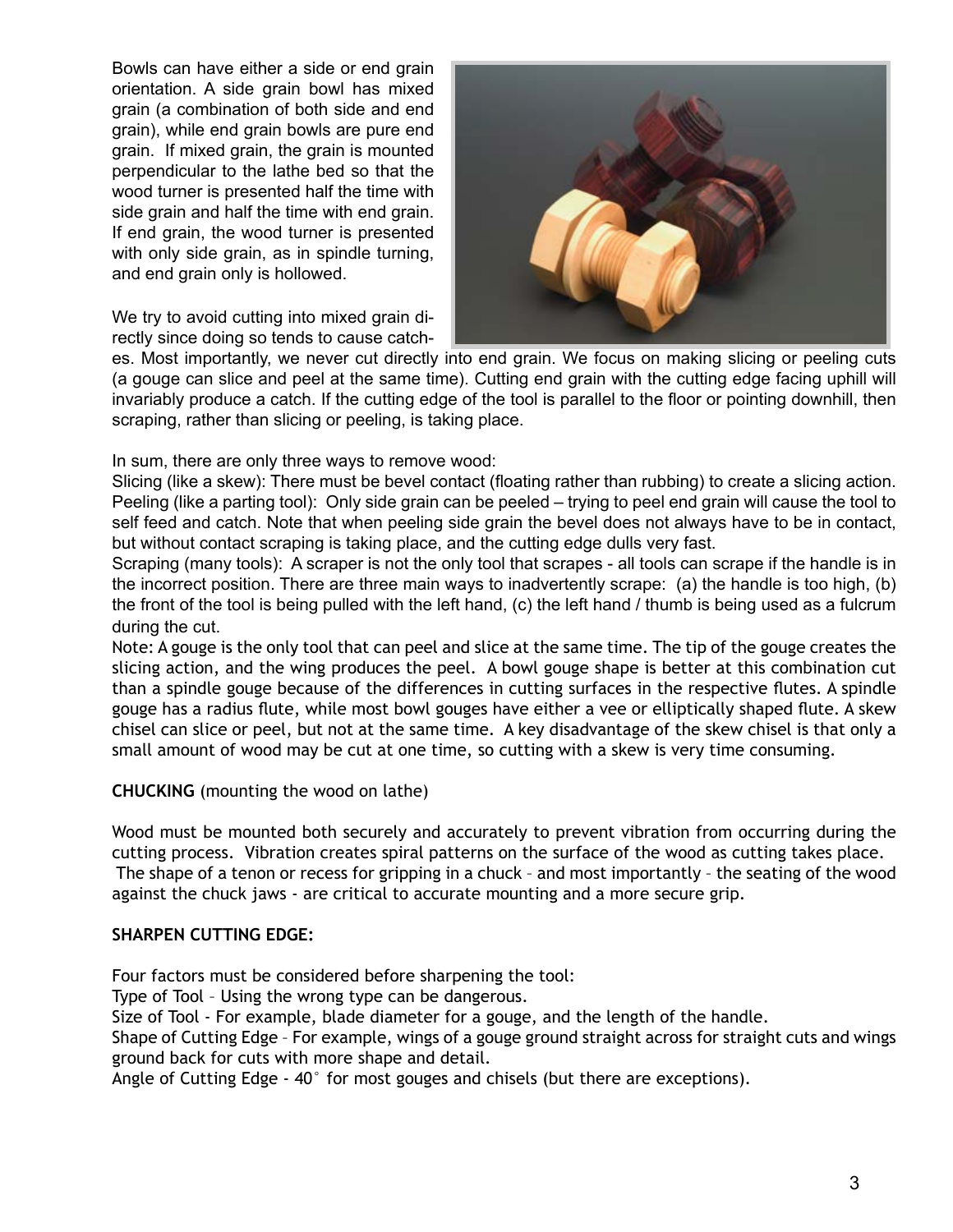Bowls can have either a side or end grain orientation. A side grain bowl has mixed grain (a combination of both side and end grain), while end grain bowls are pure end grain. If mixed grain, the grain is mounted perpendicular to the lathe bed so that the wood turner is presented half the time with side grain and half the time with end grain. If end grain, the wood turner is presented with only side grain, as in spindle turning, and end grain only is hollowed.

We try to avoid cutting into mixed grain directly since doing so tends to cause catch-



es. Most importantly, we never cut directly into end grain. We focus on making slicing or peeling cuts (a gouge can slice and peel at the same time). Cutting end grain with the cutting edge facing uphill will invariably produce a catch. If the cutting edge of the tool is parallel to the floor or pointing downhill, then scraping, rather than slicing or peeling, is taking place.

In sum, there are only three ways to remove wood:

Slicing (like a skew): There must be bevel contact (floating rather than rubbing) to create a slicing action. Peeling (like a parting tool): Only side grain can be peeled – trying to peel end grain will cause the tool to self feed and catch. Note that when peeling side grain the bevel does not always have to be in contact, but without contact scraping is taking place, and the cutting edge dulls very fast.

Scraping (many tools): A scraper is not the only tool that scrapes - all tools can scrape if the handle is in the incorrect position. There are three main ways to inadvertently scrape: (a) the handle is too high, (b) the front of the tool is being pulled with the left hand, (c) the left hand / thumb is being used as a fulcrum during the cut.

Note: A gouge is the only tool that can peel and slice at the same time. The tip of the gouge creates the slicing action, and the wing produces the peel. A bowl gouge shape is better at this combination cut than a spindle gouge because of the differences in cutting surfaces in the respective flutes. A spindle gouge has a radius flute, while most bowl gouges have either a vee or elliptically shaped flute. A skew chisel can slice or peel, but not at the same time. A key disadvantage of the skew chisel is that only a small amount of wood may be cut at one time, so cutting with a skew is very time consuming.

**CHUCKING** (mounting the wood on lathe)

Wood must be mounted both securely and accurately to prevent vibration from occurring during the cutting process. Vibration creates spiral patterns on the surface of the wood as cutting takes place. The shape of a tenon or recess for gripping in a chuck – and most importantly – the seating of the wood against the chuck jaws - are critical to accurate mounting and a more secure grip.

#### **SHARPEN CUTTING EDGE:**

Four factors must be considered before sharpening the tool:

Type of Tool – Using the wrong type can be dangerous.

Size of Tool - For example, blade diameter for a gouge, and the length of the handle.

Shape of Cutting Edge – For example, wings of a gouge ground straight across for straight cuts and wings ground back for cuts with more shape and detail.

Angle of Cutting Edge - 40° for most gouges and chisels (but there are exceptions).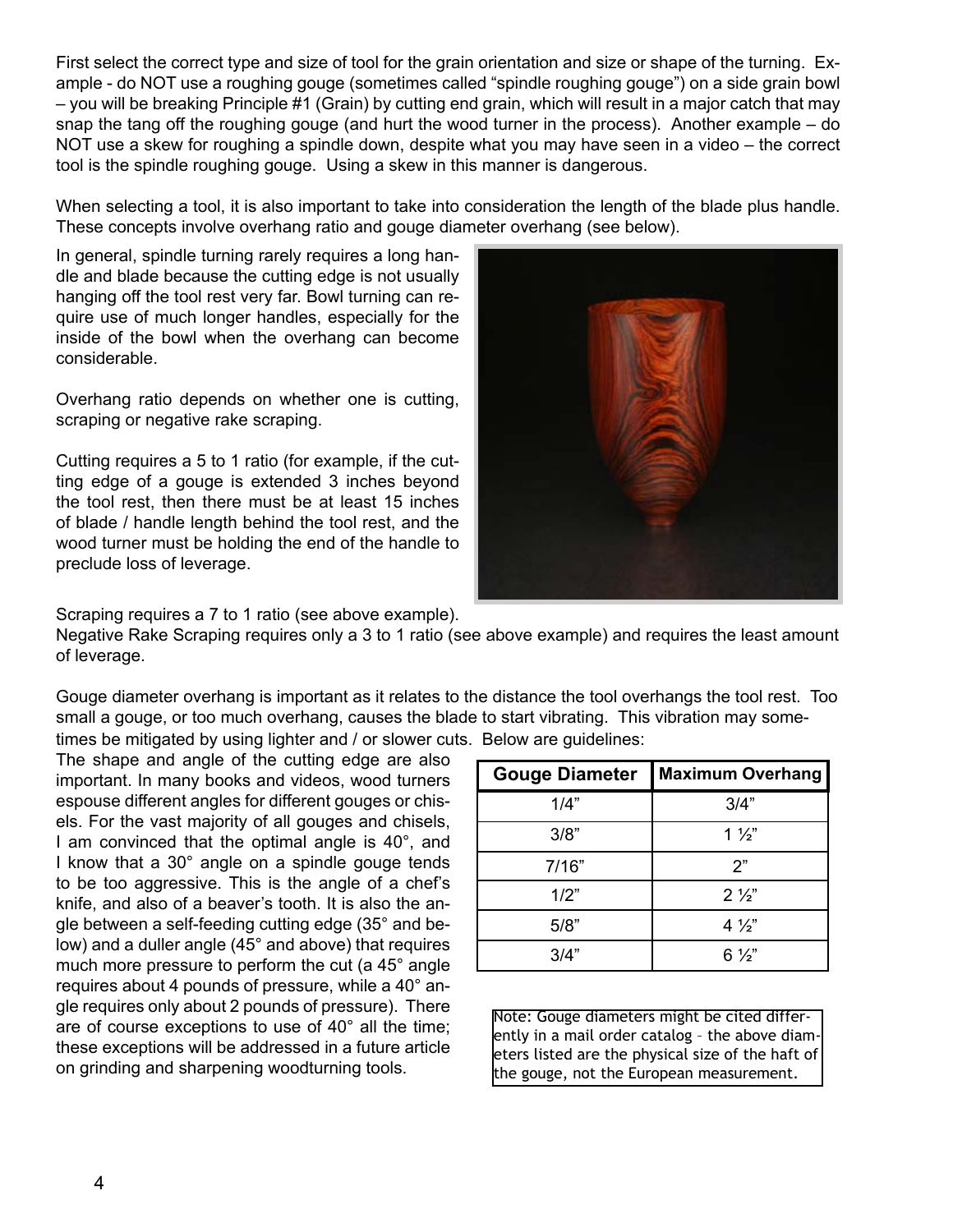First select the correct type and size of tool for the grain orientation and size or shape of the turning. Example - do NOT use a roughing gouge (sometimes called "spindle roughing gouge") on a side grain bowl – you will be breaking Principle #1 (Grain) by cutting end grain, which will result in a major catch that may snap the tang off the roughing gouge (and hurt the wood turner in the process). Another example – do NOT use a skew for roughing a spindle down, despite what you may have seen in a video – the correct tool is the spindle roughing gouge. Using a skew in this manner is dangerous.

When selecting a tool, it is also important to take into consideration the length of the blade plus handle. These concepts involve overhang ratio and gouge diameter overhang (see below).

In general, spindle turning rarely requires a long handle and blade because the cutting edge is not usually hanging off the tool rest very far. Bowl turning can require use of much longer handles, especially for the inside of the bowl when the overhang can become considerable.

Overhang ratio depends on whether one is cutting, scraping or negative rake scraping.

Cutting requires a 5 to 1 ratio (for example, if the cutting edge of a gouge is extended 3 inches beyond the tool rest, then there must be at least 15 inches of blade / handle length behind the tool rest, and the wood turner must be holding the end of the handle to preclude loss of leverage.



Scraping requires a 7 to 1 ratio (see above example).

Negative Rake Scraping requires only a 3 to 1 ratio (see above example) and requires the least amount of leverage.

Gouge diameter overhang is important as it relates to the distance the tool overhangs the tool rest. Too small a gouge, or too much overhang, causes the blade to start vibrating. This vibration may sometimes be mitigated by using lighter and / or slower cuts. Below are guidelines:

The shape and angle of the cutting edge are also important. In many books and videos, wood turners espouse different angles for different gouges or chisels. For the vast majority of all gouges and chisels, I am convinced that the optimal angle is 40°, and I know that a 30° angle on a spindle gouge tends to be too aggressive. This is the angle of a chef's knife, and also of a beaver's tooth. It is also the angle between a self-feeding cutting edge (35° and below) and a duller angle (45° and above) that requires much more pressure to perform the cut (a 45° angle requires about 4 pounds of pressure, while a 40° angle requires only about 2 pounds of pressure). There are of course exceptions to use of 40° all the time; these exceptions will be addressed in a future article on grinding and sharpening woodturning tools.

| <b>Gouge Diameter</b> | <b>Maximum Overhang</b> |
|-----------------------|-------------------------|
| 1/4"                  | 3/4"                    |
| 3/8"                  | $1\frac{1}{2}$          |
| 7/16"                 | 2"                      |
| 1/2"                  | $2\frac{1}{2}$          |
| 5/8"                  | $4\frac{1}{2}$          |
| 3/4"                  | $6\frac{1}{2}$          |

Note: Gouge diameters might be cited differently in a mail order catalog – the above diam- $|$ eters listed are the physical size of the haft of  $|$ the gouge, not the European measurement.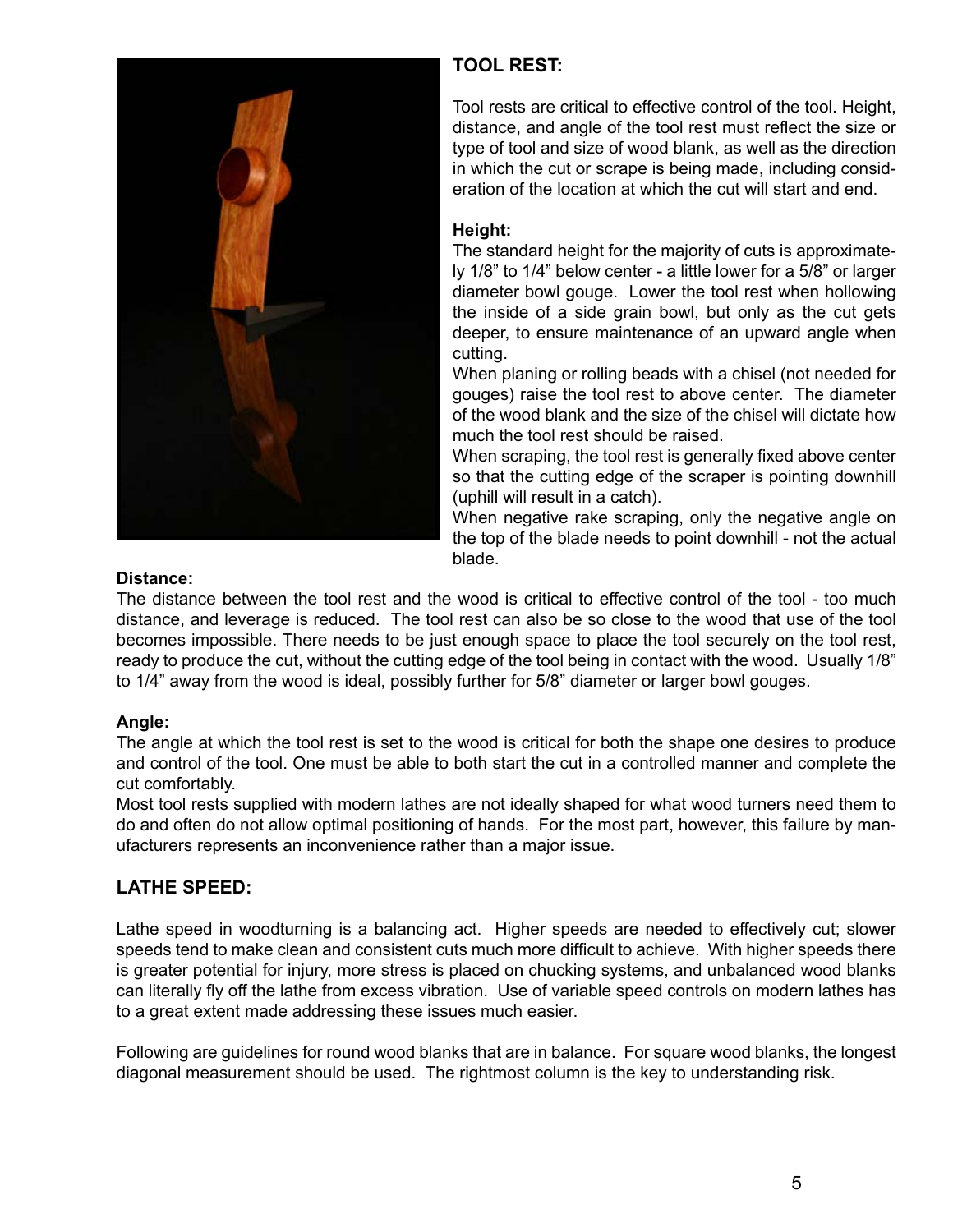

# **TOOL REST:**

Tool rests are critical to effective control of the tool. Height, distance, and angle of the tool rest must reflect the size or type of tool and size of wood blank, as well as the direction in which the cut or scrape is being made, including consideration of the location at which the cut will start and end.

### **Height:**

The standard height for the majority of cuts is approximately 1/8" to 1/4" below center - a little lower for a 5/8" or larger diameter bowl gouge. Lower the tool rest when hollowing the inside of a side grain bowl, but only as the cut gets deeper, to ensure maintenance of an upward angle when cutting.

When planing or rolling beads with a chisel (not needed for gouges) raise the tool rest to above center. The diameter of the wood blank and the size of the chisel will dictate how much the tool rest should be raised.

When scraping, the tool rest is generally fixed above center so that the cutting edge of the scraper is pointing downhill (uphill will result in a catch).

When negative rake scraping, only the negative angle on the top of the blade needs to point downhill - not the actual blade.

### **Distance:**

The distance between the tool rest and the wood is critical to effective control of the tool - too much distance, and leverage is reduced. The tool rest can also be so close to the wood that use of the tool becomes impossible. There needs to be just enough space to place the tool securely on the tool rest, ready to produce the cut, without the cutting edge of the tool being in contact with the wood. Usually 1/8" to 1/4" away from the wood is ideal, possibly further for 5/8" diameter or larger bowl gouges.

### **Angle:**

The angle at which the tool rest is set to the wood is critical for both the shape one desires to produce and control of the tool. One must be able to both start the cut in a controlled manner and complete the cut comfortably.

Most tool rests supplied with modern lathes are not ideally shaped for what wood turners need them to do and often do not allow optimal positioning of hands. For the most part, however, this failure by manufacturers represents an inconvenience rather than a major issue.

## **LATHE SPEED:**

Lathe speed in woodturning is a balancing act. Higher speeds are needed to effectively cut; slower speeds tend to make clean and consistent cuts much more difficult to achieve. With higher speeds there is greater potential for injury, more stress is placed on chucking systems, and unbalanced wood blanks can literally fly off the lathe from excess vibration. Use of variable speed controls on modern lathes has to a great extent made addressing these issues much easier.

Following are guidelines for round wood blanks that are in balance. For square wood blanks, the longest diagonal measurement should be used. The rightmost column is the key to understanding risk.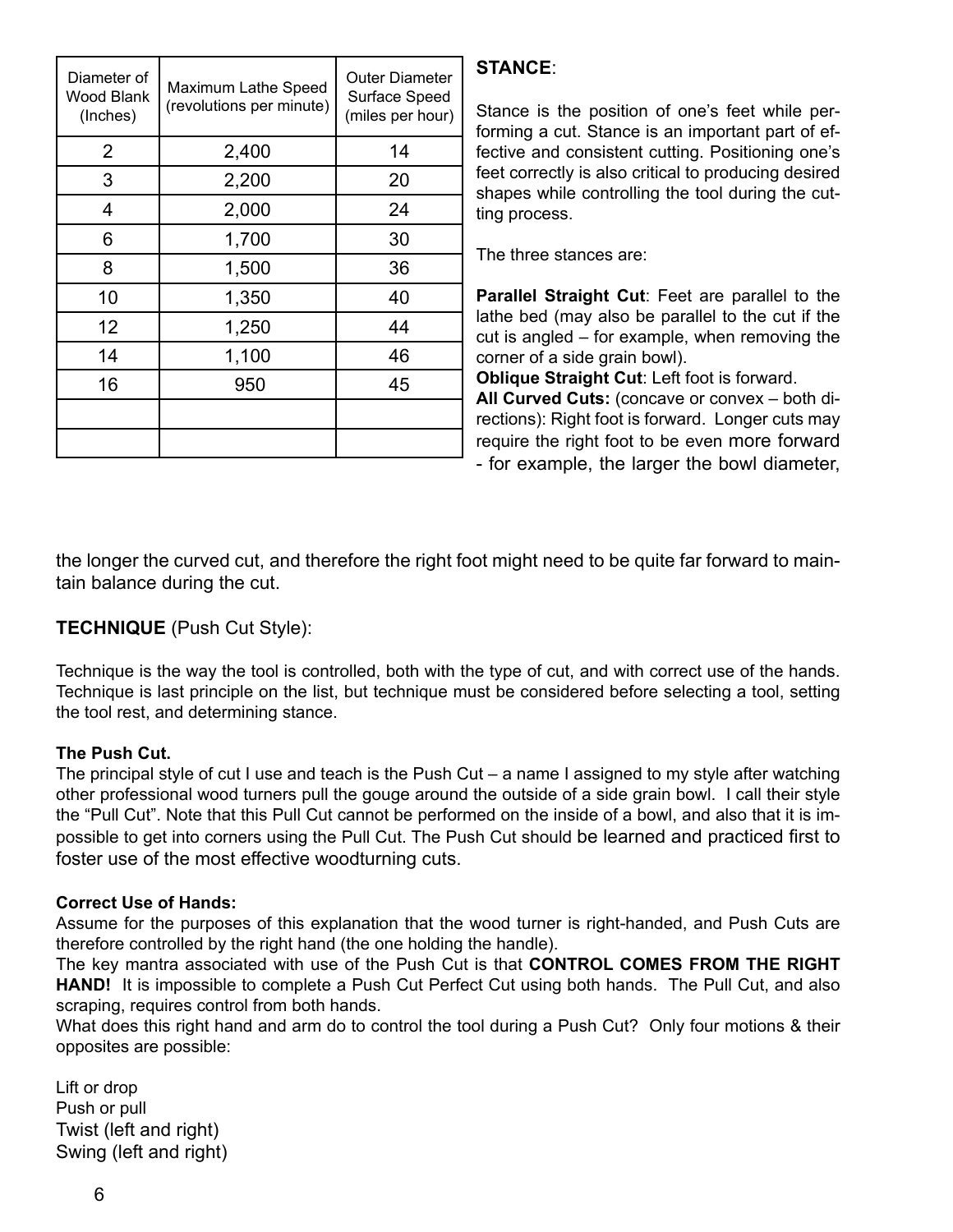| Diameter of<br><b>Wood Blank</b><br>(Inches) | Maximum Lathe Speed<br>(revolutions per minute) | <b>Outer Diameter</b><br>Surface Speed<br>(miles per hour) |
|----------------------------------------------|-------------------------------------------------|------------------------------------------------------------|
| $\overline{2}$                               | 2,400                                           | 14                                                         |
| 3                                            | 2,200                                           | 20                                                         |
| 4                                            | 2,000                                           | 24                                                         |
| 6                                            | 1,700                                           | 30                                                         |
| 8                                            | 1,500                                           | 36                                                         |
| 10                                           | 1,350                                           | 40                                                         |
| 12                                           | 1,250                                           | 44                                                         |
| 14                                           | 1,100                                           | 46                                                         |
| 16                                           | 950                                             | 45                                                         |
|                                              |                                                 |                                                            |
|                                              |                                                 |                                                            |

## **STANCE**:

Stance is the position of one's feet while performing a cut. Stance is an important part of effective and consistent cutting. Positioning one's feet correctly is also critical to producing desired shapes while controlling the tool during the cutting process.

The three stances are:

**Parallel Straight Cut**: Feet are parallel to the lathe bed (may also be parallel to the cut if the cut is angled – for example, when removing the corner of a side grain bowl).

**Oblique Straight Cut**: Left foot is forward.

**All Curved Cuts:** (concave or convex – both directions): Right foot is forward. Longer cuts may require the right foot to be even more forward - for example, the larger the bowl diameter,

the longer the curved cut, and therefore the right foot might need to be quite far forward to maintain balance during the cut.

## **TECHNIQUE** (Push Cut Style):

Technique is the way the tool is controlled, both with the type of cut, and with correct use of the hands. Technique is last principle on the list, but technique must be considered before selecting a tool, setting the tool rest, and determining stance.

### **The Push Cut.**

The principal style of cut I use and teach is the Push Cut – a name I assigned to my style after watching other professional wood turners pull the gouge around the outside of a side grain bowl. I call their style the "Pull Cut". Note that this Pull Cut cannot be performed on the inside of a bowl, and also that it is impossible to get into corners using the Pull Cut. The Push Cut should be learned and practiced first to foster use of the most effective woodturning cuts.

## **Correct Use of Hands:**

Assume for the purposes of this explanation that the wood turner is right-handed, and Push Cuts are therefore controlled by the right hand (the one holding the handle).

The key mantra associated with use of the Push Cut is that **CONTROL COMES FROM THE RIGHT HAND!** It is impossible to complete a Push Cut Perfect Cut using both hands. The Pull Cut, and also scraping, requires control from both hands.

What does this right hand and arm do to control the tool during a Push Cut? Only four motions & their opposites are possible:

Lift or drop Push or pull Twist (left and right) Swing (left and right)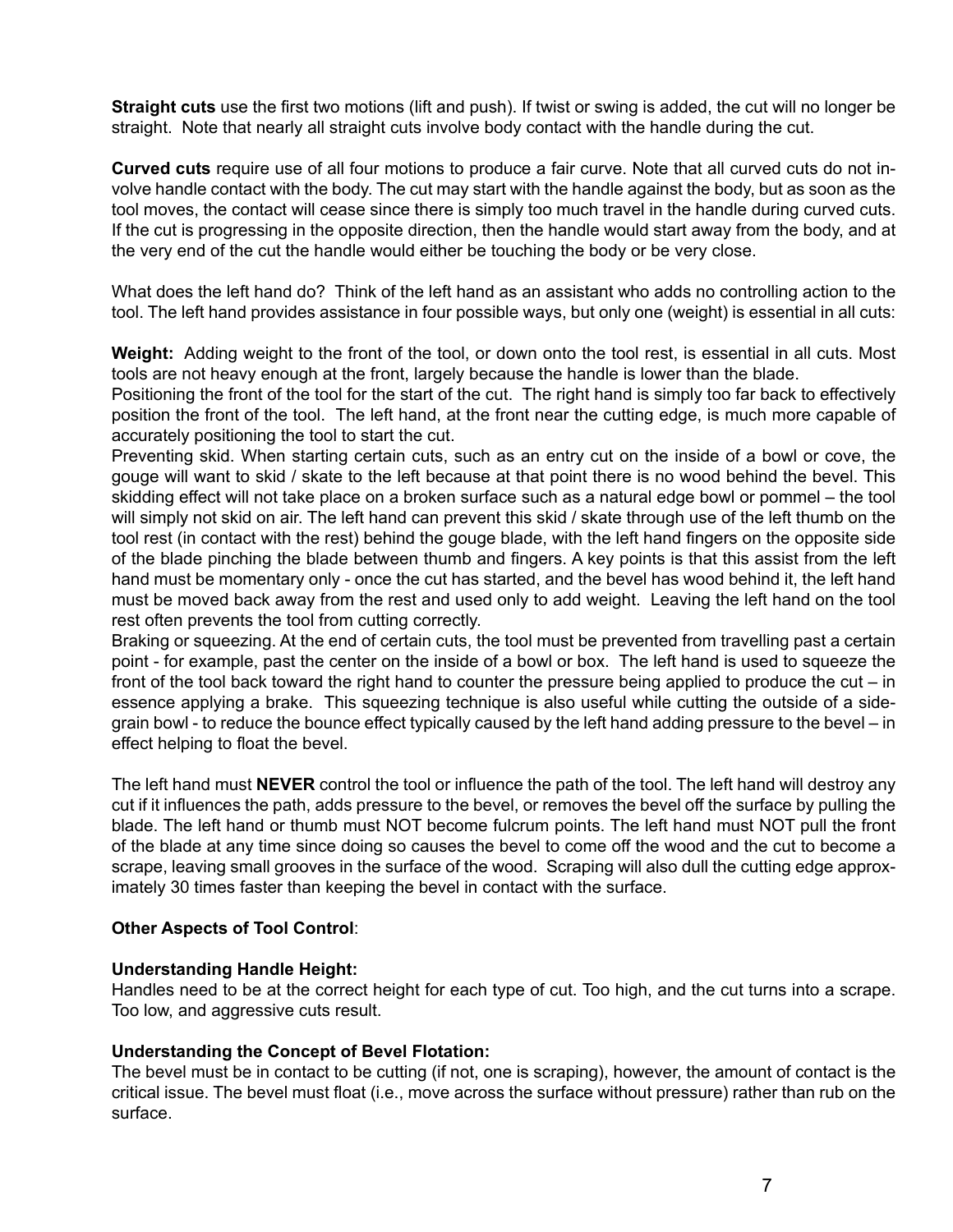**Straight cuts** use the first two motions (lift and push). If twist or swing is added, the cut will no longer be straight. Note that nearly all straight cuts involve body contact with the handle during the cut.

**Curved cuts** require use of all four motions to produce a fair curve. Note that all curved cuts do not involve handle contact with the body. The cut may start with the handle against the body, but as soon as the tool moves, the contact will cease since there is simply too much travel in the handle during curved cuts. If the cut is progressing in the opposite direction, then the handle would start away from the body, and at the very end of the cut the handle would either be touching the body or be very close.

What does the left hand do? Think of the left hand as an assistant who adds no controlling action to the tool. The left hand provides assistance in four possible ways, but only one (weight) is essential in all cuts:

**Weight:** Adding weight to the front of the tool, or down onto the tool rest, is essential in all cuts. Most tools are not heavy enough at the front, largely because the handle is lower than the blade.

Positioning the front of the tool for the start of the cut. The right hand is simply too far back to effectively position the front of the tool. The left hand, at the front near the cutting edge, is much more capable of accurately positioning the tool to start the cut.

Preventing skid. When starting certain cuts, such as an entry cut on the inside of a bowl or cove, the gouge will want to skid / skate to the left because at that point there is no wood behind the bevel. This skidding effect will not take place on a broken surface such as a natural edge bowl or pommel – the tool will simply not skid on air. The left hand can prevent this skid / skate through use of the left thumb on the tool rest (in contact with the rest) behind the gouge blade, with the left hand fingers on the opposite side of the blade pinching the blade between thumb and fingers. A key points is that this assist from the left hand must be momentary only - once the cut has started, and the bevel has wood behind it, the left hand must be moved back away from the rest and used only to add weight. Leaving the left hand on the tool rest often prevents the tool from cutting correctly.

Braking or squeezing. At the end of certain cuts, the tool must be prevented from travelling past a certain point - for example, past the center on the inside of a bowl or box. The left hand is used to squeeze the front of the tool back toward the right hand to counter the pressure being applied to produce the cut – in essence applying a brake. This squeezing technique is also useful while cutting the outside of a sidegrain bowl - to reduce the bounce effect typically caused by the left hand adding pressure to the bevel – in effect helping to float the bevel.

The left hand must **NEVER** control the tool or influence the path of the tool. The left hand will destroy any cut if it influences the path, adds pressure to the bevel, or removes the bevel off the surface by pulling the blade. The left hand or thumb must NOT become fulcrum points. The left hand must NOT pull the front of the blade at any time since doing so causes the bevel to come off the wood and the cut to become a scrape, leaving small grooves in the surface of the wood. Scraping will also dull the cutting edge approximately 30 times faster than keeping the bevel in contact with the surface.

#### **Other Aspects of Tool Control**:

#### **Understanding Handle Height:**

Handles need to be at the correct height for each type of cut. Too high, and the cut turns into a scrape. Too low, and aggressive cuts result.

#### **Understanding the Concept of Bevel Flotation:**

The bevel must be in contact to be cutting (if not, one is scraping), however, the amount of contact is the critical issue. The bevel must float (i.e., move across the surface without pressure) rather than rub on the surface.